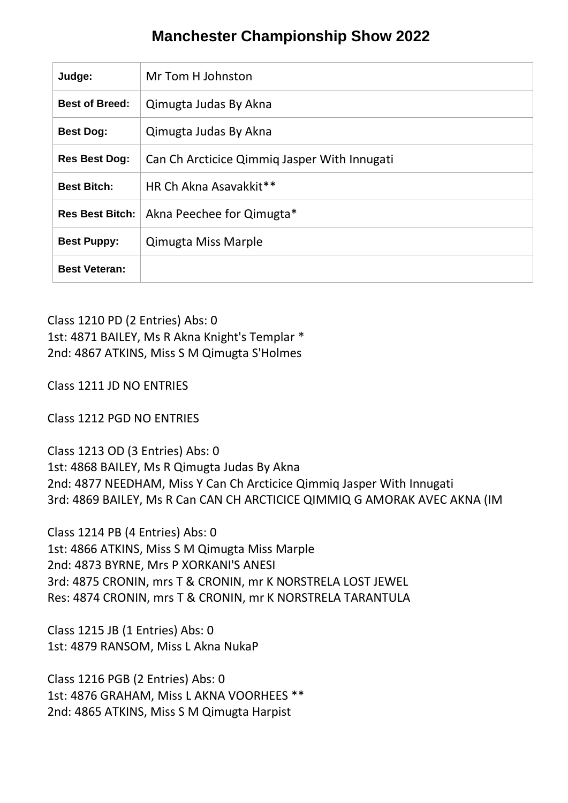## **Manchester Championship Show 2022**

| Judge:                 | Mr Tom H Johnston                            |
|------------------------|----------------------------------------------|
| <b>Best of Breed:</b>  | Qimugta Judas By Akna                        |
| <b>Best Dog:</b>       | Qimugta Judas By Akna                        |
| <b>Res Best Dog:</b>   | Can Ch Arcticice Qimmiq Jasper With Innugati |
| <b>Best Bitch:</b>     | HR Ch Akna Asavakkit**                       |
| <b>Res Best Bitch:</b> | Akna Peechee for Qimugta*                    |
| <b>Best Puppy:</b>     | <b>Qimugta Miss Marple</b>                   |
| <b>Best Veteran:</b>   |                                              |

Class 1210 PD (2 Entries) Abs: 0 1st: 4871 BAILEY, Ms R Akna Knight's Templar \* 2nd: 4867 ATKINS, Miss S M Qimugta S'Holmes

Class 1211 JD NO ENTRIES

Class 1212 PGD NO ENTRIES

Class 1213 OD (3 Entries) Abs: 0 1st: 4868 BAILEY, Ms R Qimugta Judas By Akna 2nd: 4877 NEEDHAM, Miss Y Can Ch Arcticice Qimmiq Jasper With Innugati 3rd: 4869 BAILEY, Ms R Can CAN CH ARCTICICE QIMMIQ G AMORAK AVEC AKNA (IM

Class 1214 PB (4 Entries) Abs: 0 1st: 4866 ATKINS, Miss S M Qimugta Miss Marple 2nd: 4873 BYRNE, Mrs P XORKANI'S ANESI 3rd: 4875 CRONIN, mrs T & CRONIN, mr K NORSTRELA LOST JEWEL Res: 4874 CRONIN, mrs T & CRONIN, mr K NORSTRELA TARANTULA

Class 1215 JB (1 Entries) Abs: 0 1st: 4879 RANSOM, Miss L Akna NukaP

Class 1216 PGB (2 Entries) Abs: 0 1st: 4876 GRAHAM, Miss L AKNA VOORHEES \*\* 2nd: 4865 ATKINS, Miss S M Qimugta Harpist